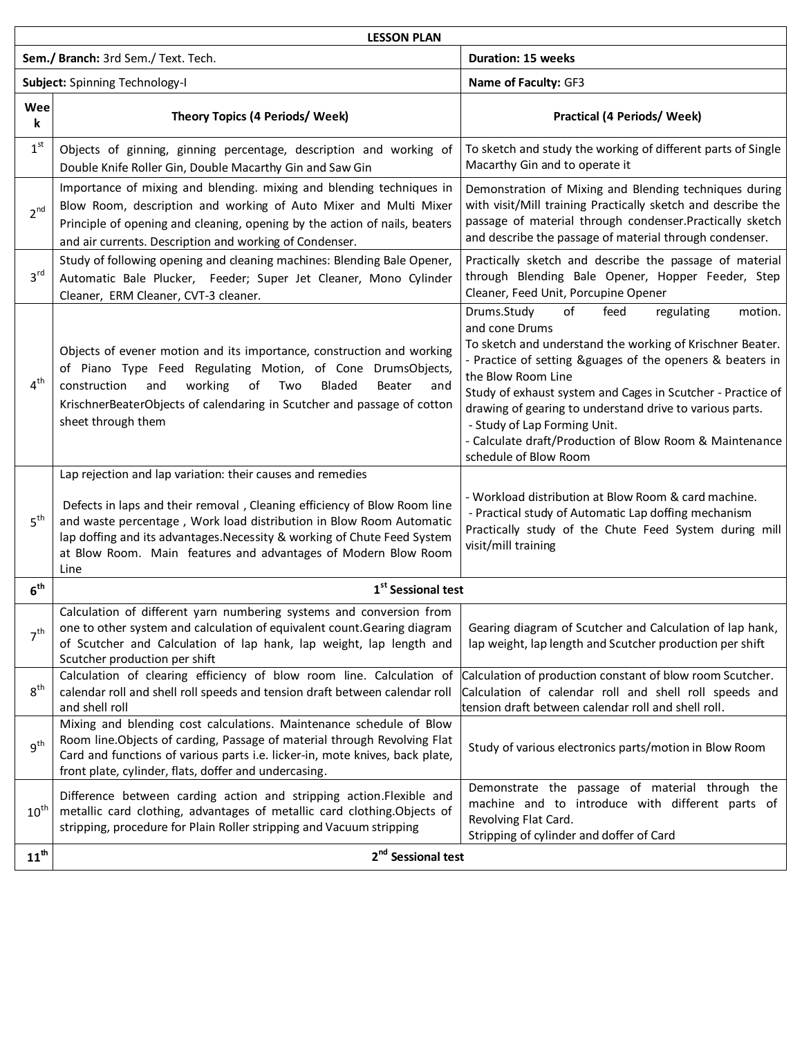| <b>LESSON PLAN</b>                  |                                                                                                                                                                                                                                                                                                                                                                     |                                                                                                                                                                                                                                                                                                                                                                                                                                                                     |  |
|-------------------------------------|---------------------------------------------------------------------------------------------------------------------------------------------------------------------------------------------------------------------------------------------------------------------------------------------------------------------------------------------------------------------|---------------------------------------------------------------------------------------------------------------------------------------------------------------------------------------------------------------------------------------------------------------------------------------------------------------------------------------------------------------------------------------------------------------------------------------------------------------------|--|
| Sem./ Branch: 3rd Sem./ Text. Tech. |                                                                                                                                                                                                                                                                                                                                                                     | <b>Duration: 15 weeks</b>                                                                                                                                                                                                                                                                                                                                                                                                                                           |  |
| Subject: Spinning Technology-I      |                                                                                                                                                                                                                                                                                                                                                                     | Name of Faculty: GF3                                                                                                                                                                                                                                                                                                                                                                                                                                                |  |
| Wee<br>k                            | <b>Theory Topics (4 Periods/ Week)</b>                                                                                                                                                                                                                                                                                                                              | <b>Practical (4 Periods/ Week)</b>                                                                                                                                                                                                                                                                                                                                                                                                                                  |  |
| 1 <sup>st</sup>                     | Objects of ginning, ginning percentage, description and working of<br>Double Knife Roller Gin, Double Macarthy Gin and Saw Gin                                                                                                                                                                                                                                      | To sketch and study the working of different parts of Single<br>Macarthy Gin and to operate it                                                                                                                                                                                                                                                                                                                                                                      |  |
| 2 <sup>nd</sup>                     | Importance of mixing and blending. mixing and blending techniques in<br>Blow Room, description and working of Auto Mixer and Multi Mixer<br>Principle of opening and cleaning, opening by the action of nails, beaters<br>and air currents. Description and working of Condenser.                                                                                   | Demonstration of Mixing and Blending techniques during<br>with visit/Mill training Practically sketch and describe the<br>passage of material through condenser. Practically sketch<br>and describe the passage of material through condenser.                                                                                                                                                                                                                      |  |
| 3 <sup>rd</sup>                     | Study of following opening and cleaning machines: Blending Bale Opener,<br>Automatic Bale Plucker, Feeder; Super Jet Cleaner, Mono Cylinder<br>Cleaner, ERM Cleaner, CVT-3 cleaner.                                                                                                                                                                                 | Practically sketch and describe the passage of material<br>through Blending Bale Opener, Hopper Feeder, Step<br>Cleaner, Feed Unit, Porcupine Opener                                                                                                                                                                                                                                                                                                                |  |
| 4 <sup>th</sup>                     | Objects of evener motion and its importance, construction and working<br>of Piano Type Feed Regulating Motion, of Cone DrumsObjects,<br>working<br>construction<br>and<br>of<br>Bladed<br>Two<br>Beater<br>and<br>KrischnerBeaterObjects of calendaring in Scutcher and passage of cotton<br>sheet through them                                                     | Drums.Study<br>of<br>feed<br>regulating<br>motion.<br>and cone Drums<br>To sketch and understand the working of Krischner Beater.<br>- Practice of setting &guages of the openers & beaters in<br>the Blow Room Line<br>Study of exhaust system and Cages in Scutcher - Practice of<br>drawing of gearing to understand drive to various parts.<br>- Study of Lap Forming Unit.<br>- Calculate draft/Production of Blow Room & Maintenance<br>schedule of Blow Room |  |
| 5 <sup>th</sup>                     | Lap rejection and lap variation: their causes and remedies<br>Defects in laps and their removal, Cleaning efficiency of Blow Room line<br>and waste percentage, Work load distribution in Blow Room Automatic<br>lap doffing and its advantages. Necessity & working of Chute Feed System<br>at Blow Room. Main features and advantages of Modern Blow Room<br>Line | - Workload distribution at Blow Room & card machine.<br>- Practical study of Automatic Lap doffing mechanism<br>Practically study of the Chute Feed System during mill<br>visit/mill training                                                                                                                                                                                                                                                                       |  |
| 6 <sup>th</sup>                     | 1 <sup>st</sup> Sessional test                                                                                                                                                                                                                                                                                                                                      |                                                                                                                                                                                                                                                                                                                                                                                                                                                                     |  |
| 7 <sup>th</sup>                     | Calculation of different yarn numbering systems and conversion from<br>one to other system and calculation of equivalent count. Gearing diagram<br>of Scutcher and Calculation of lap hank, lap weight, lap length and<br>Scutcher production per shift                                                                                                             | Gearing diagram of Scutcher and Calculation of lap hank,<br>lap weight, lap length and Scutcher production per shift                                                                                                                                                                                                                                                                                                                                                |  |
| $8^{\text{th}}$                     | Calculation of clearing efficiency of blow room line. Calculation of<br>calendar roll and shell roll speeds and tension draft between calendar roll<br>and shell roll                                                                                                                                                                                               | Calculation of production constant of blow room Scutcher.<br>Calculation of calendar roll and shell roll speeds and<br>tension draft between calendar roll and shell roll.                                                                                                                                                                                                                                                                                          |  |
| $q^{th}$                            | Mixing and blending cost calculations. Maintenance schedule of Blow<br>Room line. Objects of carding, Passage of material through Revolving Flat<br>Card and functions of various parts i.e. licker-in, mote knives, back plate,<br>front plate, cylinder, flats, doffer and undercasing.                                                                           | Study of various electronics parts/motion in Blow Room                                                                                                                                                                                                                                                                                                                                                                                                              |  |
| $10^{\text{th}}$                    | Difference between carding action and stripping action.Flexible and<br>metallic card clothing, advantages of metallic card clothing.Objects of<br>stripping, procedure for Plain Roller stripping and Vacuum stripping                                                                                                                                              | Demonstrate the passage of material through the<br>machine and to introduce with different parts of<br>Revolving Flat Card.<br>Stripping of cylinder and doffer of Card                                                                                                                                                                                                                                                                                             |  |
| 11 <sup>th</sup>                    | 2 <sup>nd</sup> Sessional test                                                                                                                                                                                                                                                                                                                                      |                                                                                                                                                                                                                                                                                                                                                                                                                                                                     |  |